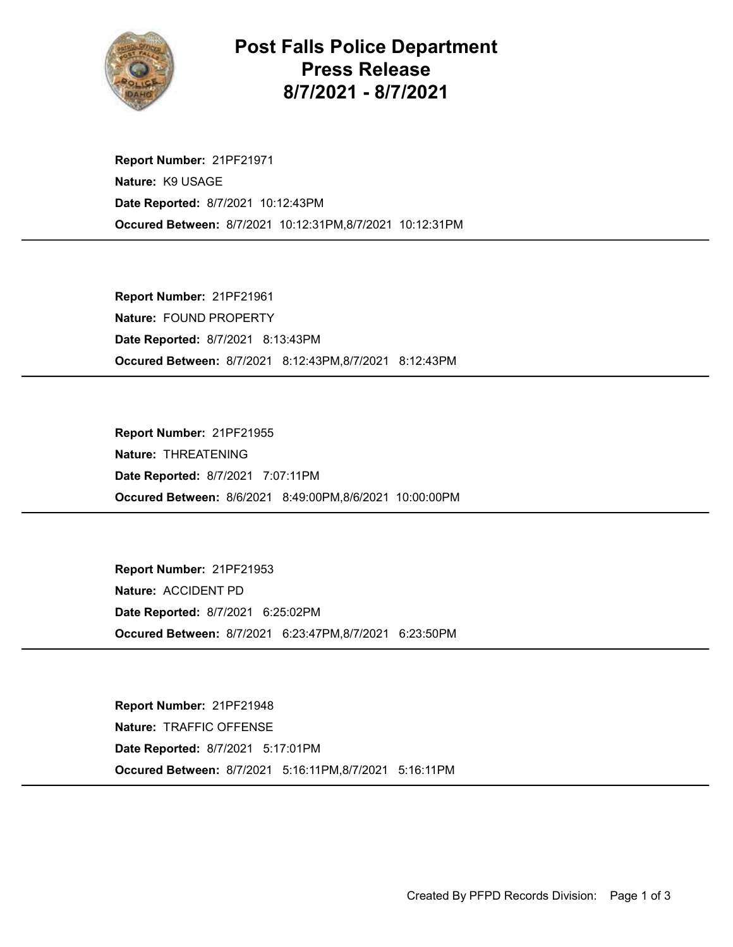

Post Falls Police Department Press Release 8/7/2021 - 8/7/2021

Occured Between: 8/7/2021 10:12:31PM,8/7/2021 10:12:31PM Report Number: 21PF21971 Nature: K9 USAGE Date Reported: 8/7/2021 10:12:43PM

Occured Between: 8/7/2021 8:12:43PM,8/7/2021 8:12:43PM Report Number: 21PF21961 Nature: FOUND PROPERTY Date Reported: 8/7/2021 8:13:43PM

Occured Between: 8/6/2021 8:49:00PM,8/6/2021 10:00:00PM Report Number: 21PF21955 Nature: THREATENING Date Reported: 8/7/2021 7:07:11PM

Occured Between: 8/7/2021 6:23:47PM,8/7/2021 6:23:50PM Report Number: 21PF21953 Nature: ACCIDENT PD Date Reported: 8/7/2021 6:25:02PM

Occured Between: 8/7/2021 5:16:11PM,8/7/2021 5:16:11PM Report Number: 21PF21948 Nature: TRAFFIC OFFENSE Date Reported: 8/7/2021 5:17:01PM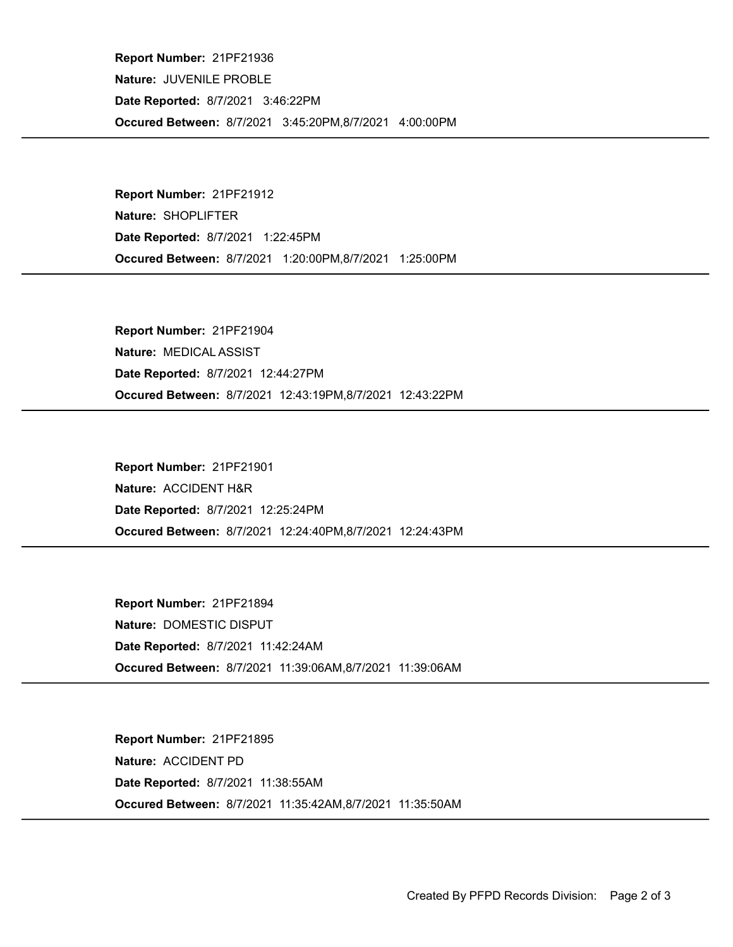Occured Between: 8/7/2021 3:45:20PM,8/7/2021 4:00:00PM Report Number: 21PF21936 Nature: JUVENILE PROBLE Date Reported: 8/7/2021 3:46:22PM

Occured Between: 8/7/2021 1:20:00PM,8/7/2021 1:25:00PM Report Number: 21PF21912 Nature: SHOPLIFTER Date Reported: 8/7/2021 1:22:45PM

Occured Between: 8/7/2021 12:43:19PM,8/7/2021 12:43:22PM Report Number: 21PF21904 Nature: MEDICAL ASSIST Date Reported: 8/7/2021 12:44:27PM

Occured Between: 8/7/2021 12:24:40PM,8/7/2021 12:24:43PM Report Number: 21PF21901 Nature: ACCIDENT H&R Date Reported: 8/7/2021 12:25:24PM

Occured Between: 8/7/2021 11:39:06AM,8/7/2021 11:39:06AM Report Number: 21PF21894 Nature: DOMESTIC DISPUT Date Reported: 8/7/2021 11:42:24AM

Occured Between: 8/7/2021 11:35:42AM,8/7/2021 11:35:50AM Report Number: 21PF21895 Nature: ACCIDENT PD Date Reported: 8/7/2021 11:38:55AM